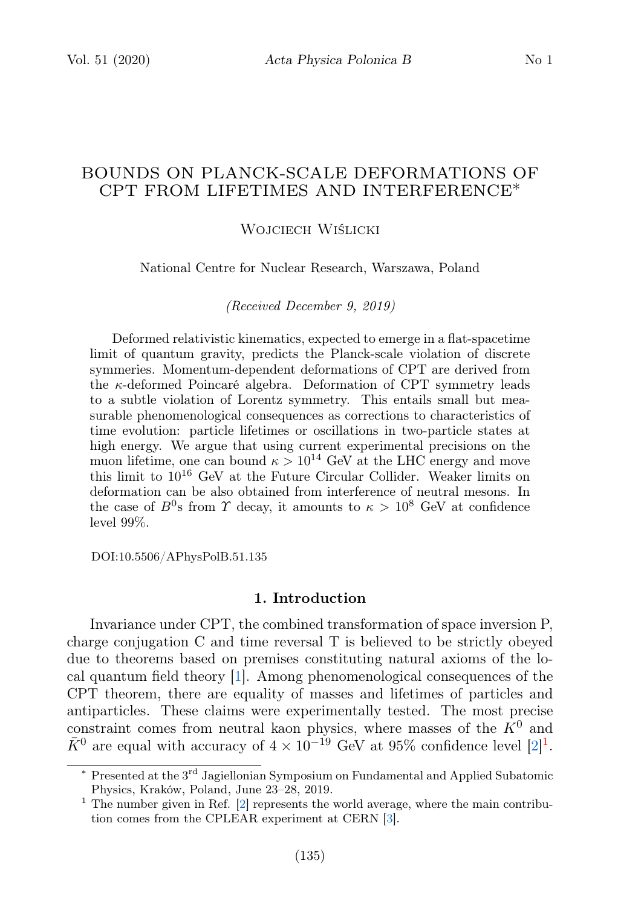# BOUNDS ON PLANCK-SCALE DEFORMATIONS OF CPT FROM LIFETIMES AND INTERFERENCE∗

#### Wojciech Wiślicki

National Centre for Nuclear Research, Warszawa, Poland

(Received December 9, 2019)

Deformed relativistic kinematics, expected to emerge in a flat-spacetime limit of quantum gravity, predicts the Planck-scale violation of discrete symmeries. Momentum-dependent deformations of CPT are derived from the κ-deformed Poincaré algebra. Deformation of CPT symmetry leads to a subtle violation of Lorentz symmetry. This entails small but measurable phenomenological consequences as corrections to characteristics of time evolution: particle lifetimes or oscillations in two-particle states at high energy. We argue that using current experimental precisions on the muon lifetime, one can bound  $\kappa > 10^{14}$  GeV at the LHC energy and move this limit to  $10^{16}$  GeV at the Future Circular Collider. Weaker limits on deformation can be also obtained from interference of neutral mesons. In the case of  $B^0$ s from  $\Upsilon$  decay, it amounts to  $\kappa > 10^8$  GeV at confidence level 99%.

DOI:10.5506/APhysPolB.51.135

## 1. Introduction

Invariance under CPT, the combined transformation of space inversion P, charge conjugation C and time reversal T is believed to be strictly obeyed due to theorems based on premises constituting natural axioms of the local quantum field theory [\[1\]](#page-6-0). Among phenomenological consequences of the CPT theorem, there are equality of masses and lifetimes of particles and antiparticles. These claims were experimentally tested. The most precise constraint comes from neutral kaon physics, where masses of the  $K^0$  and  $\bar{K}^0$  are equal with accuracy of  $4 \times 10^{-19}$  $4 \times 10^{-19}$  $4 \times 10^{-19}$  GeV at 95% confidence level  $[2]^1$  $[2]^1$ .

<sup>\*</sup> Presented at the 3<sup>rd</sup> Jagiellonian Symposium on Fundamental and Applied Subatomic Physics, Kraków, Poland, June 23–28, 2019.

<span id="page-0-0"></span> $1$  The number given in Ref. [\[2\]](#page-6-1) represents the world average, where the main contribution comes from the CPLEAR experiment at CERN [\[3\]](#page-6-2).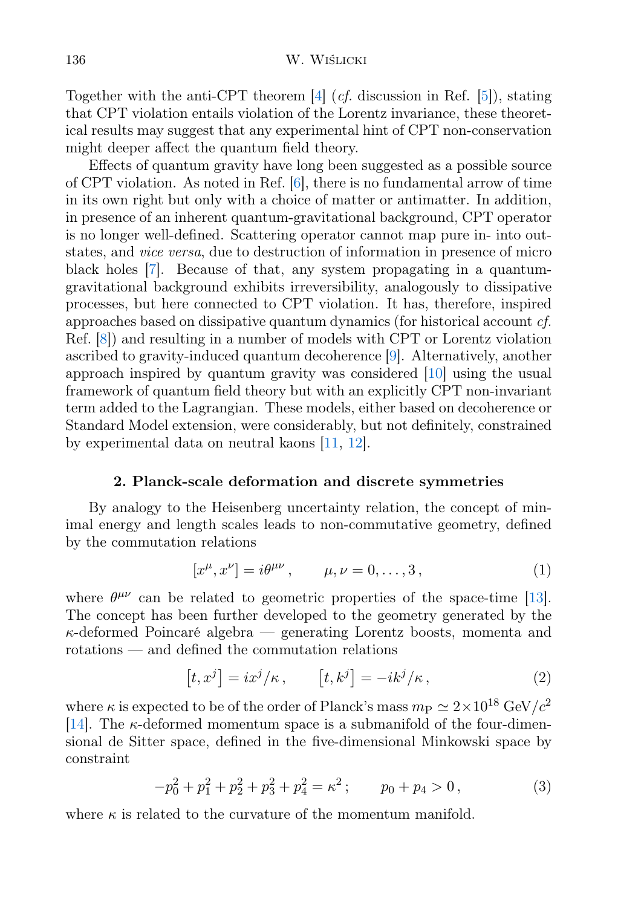Together with the anti-CPT theorem  $[4]$  (*cf.* discussion in Ref.  $[5]$ ), stating that CPT violation entails violation of the Lorentz invariance, these theoretical results may suggest that any experimental hint of CPT non-conservation might deeper affect the quantum field theory.

Effects of quantum gravity have long been suggested as a possible source of CPT violation. As noted in Ref. [\[6\]](#page-6-5), there is no fundamental arrow of time in its own right but only with a choice of matter or antimatter. In addition, in presence of an inherent quantum-gravitational background, CPT operator is no longer well-defined. Scattering operator cannot map pure in- into outstates, and vice versa, due to destruction of information in presence of micro black holes [\[7\]](#page-6-6). Because of that, any system propagating in a quantumgravitational background exhibits irreversibility, analogously to dissipative processes, but here connected to CPT violation. It has, therefore, inspired approaches based on dissipative quantum dynamics (for historical account cf. Ref. [\[8\]](#page-6-7)) and resulting in a number of models with CPT or Lorentz violation ascribed to gravity-induced quantum decoherence [\[9\]](#page-6-8). Alternatively, another approach inspired by quantum gravity was considered [\[10\]](#page-6-9) using the usual framework of quantum field theory but with an explicitly CPT non-invariant term added to the Lagrangian. These models, either based on decoherence or Standard Model extension, were considerably, but not definitely, constrained by experimental data on neutral kaons [\[11,](#page-6-10) [12\]](#page-6-11).

## 2. Planck-scale deformation and discrete symmetries

By analogy to the Heisenberg uncertainty relation, the concept of minimal energy and length scales leads to non-commutative geometry, defined by the commutation relations

$$
[x^{\mu}, x^{\nu}] = i\theta^{\mu\nu}, \qquad \mu, \nu = 0, \dots, 3,
$$
 (1)

where  $\theta^{\mu\nu}$  can be related to geometric properties of the space-time [\[13\]](#page-6-12). The concept has been further developed to the geometry generated by the  $\kappa$ -deformed Poincaré algebra — generating Lorentz boosts, momenta and rotations — and defined the commutation relations

$$
[t, xj] = ixj/\kappa, \qquad [t, kj] = -ikj/\kappa,
$$
 (2)

where  $\kappa$  is expected to be of the order of Planck's mass  $m_P \simeq 2 \times 10^{18} \text{ GeV}/c^2$ [\[14\]](#page-6-13). The  $\kappa$ -deformed momentum space is a submanifold of the four-dimensional de Sitter space, defined in the five-dimensional Minkowski space by constraint

$$
-p_0^2 + p_1^2 + p_2^2 + p_3^2 + p_4^2 = \kappa^2; \qquad p_0 + p_4 > 0,
$$
 (3)

where  $\kappa$  is related to the curvature of the momentum manifold.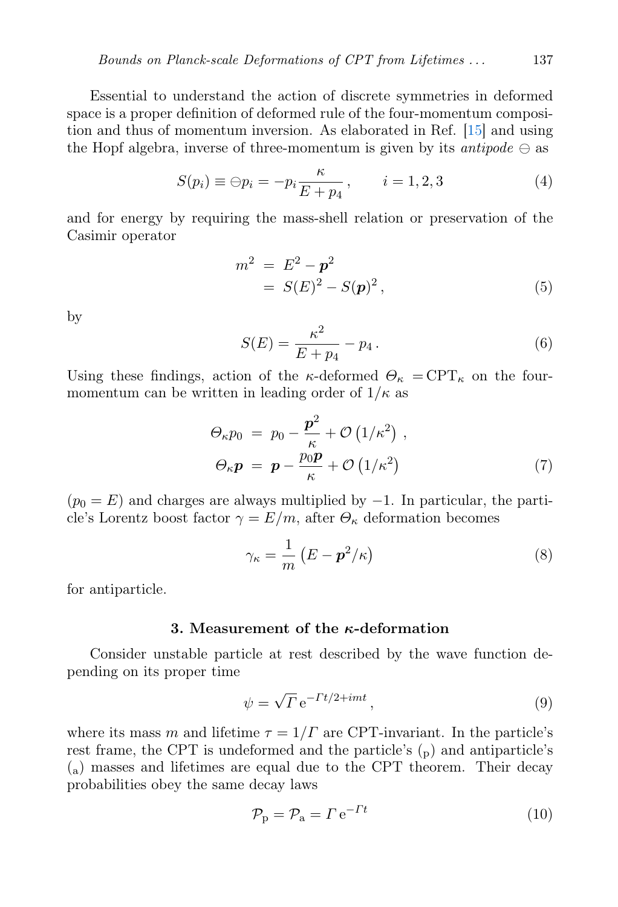Essential to understand the action of discrete symmetries in deformed space is a proper definition of deformed rule of the four-momentum composition and thus of momentum inversion. As elaborated in Ref. [\[15\]](#page-6-14) and using the Hopf algebra, inverse of three-momentum is given by its *antipode*  $\ominus$  as

$$
S(p_i) \equiv \ominus p_i = -p_i \frac{\kappa}{E + p_4}, \qquad i = 1, 2, 3 \tag{4}
$$

and for energy by requiring the mass-shell relation or preservation of the Casimir operator

<span id="page-2-0"></span>
$$
m2 = E2 - p2
$$
  
= S(E)<sup>2</sup> - S(p)<sup>2</sup>, (5)

by

$$
S(E) = \frac{\kappa^2}{E + p_4} - p_4.
$$
 (6)

Using these findings, action of the  $\kappa$ -deformed  $\Theta_{\kappa} = \text{CPT}_{\kappa}$  on the fourmomentum can be written in leading order of  $1/\kappa$  as

$$
\Theta_{\kappa} p_0 = p_0 - \frac{\mathbf{p}^2}{\kappa} + \mathcal{O}\left(1/\kappa^2\right) ,
$$
  
\n
$$
\Theta_{\kappa} \mathbf{p} = \mathbf{p} - \frac{p_0 \mathbf{p}}{\kappa} + \mathcal{O}\left(1/\kappa^2\right) \tag{7}
$$

 $(p_0 = E)$  and charges are always multiplied by  $-1$ . In particular, the particle's Lorentz boost factor  $\gamma = E/m$ , after  $\Theta_{\kappa}$  deformation becomes

$$
\gamma_{\kappa} = \frac{1}{m} \left( E - \mathbf{p}^2 / \kappa \right) \tag{8}
$$

for antiparticle.

### 3. Measurement of the  $\kappa$ -deformation

Consider unstable particle at rest described by the wave function depending on its proper time

$$
\psi = \sqrt{\Gamma} e^{-\Gamma t/2 + imt},\qquad(9)
$$

where its mass m and lifetime  $\tau = 1/\Gamma$  are CPT-invariant. In the particle's rest frame, the CPT is undeformed and the particle's  $_{\rm (p)}$  and antiparticle's (a) masses and lifetimes are equal due to the CPT theorem. Their decay probabilities obey the same decay laws

$$
\mathcal{P}_{\mathbf{p}} = \mathcal{P}_{\mathbf{a}} = \Gamma \,\mathbf{e}^{-\Gamma t} \tag{10}
$$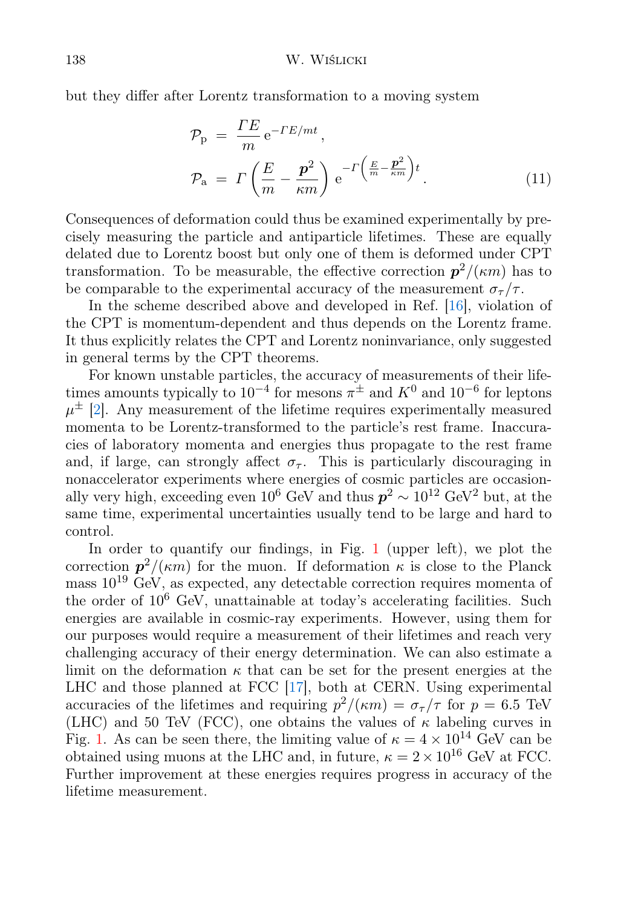but they differ after Lorentz transformation to a moving system

$$
\mathcal{P}_{\mathbf{p}} = \frac{\Gamma E}{m} e^{-\Gamma E/mt},
$$
\n
$$
\mathcal{P}_{\mathbf{a}} = \Gamma \left( \frac{E}{m} - \frac{\mathbf{p}^2}{\kappa m} \right) e^{-\Gamma \left( \frac{E}{m} - \frac{\mathbf{p}^2}{\kappa m} \right)t}.
$$
\n(11)

Consequences of deformation could thus be examined experimentally by precisely measuring the particle and antiparticle lifetimes. These are equally delated due to Lorentz boost but only one of them is deformed under CPT transformation. To be measurable, the effective correction  $p^2/(\kappa m)$  has to be comparable to the experimental accuracy of the measurement  $\sigma_{\tau}/\tau$ .

In the scheme described above and developed in Ref. [\[16\]](#page-6-15), violation of the CPT is momentum-dependent and thus depends on the Lorentz frame. It thus explicitly relates the CPT and Lorentz noninvariance, only suggested in general terms by the CPT theorems.

For known unstable particles, the accuracy of measurements of their lifetimes amounts typically to  $10^{-4}$  for mesons  $\pi^{\pm}$  and  $K^{0}$  and  $10^{-6}$  for leptons  $\mu^{\pm}$  [\[2\]](#page-6-1). Any measurement of the lifetime requires experimentally measured momenta to be Lorentz-transformed to the particle's rest frame. Inaccuracies of laboratory momenta and energies thus propagate to the rest frame and, if large, can strongly affect  $\sigma_{\tau}$ . This is particularly discouraging in nonaccelerator experiments where energies of cosmic particles are occasionally very high, exceeding even  $10^6$  GeV and thus  $p^2 \sim 10^{12}$  GeV<sup>2</sup> but, at the same time, experimental uncertainties usually tend to be large and hard to control.

In order to quantify our findings, in Fig. [1](#page-4-0) (upper left), we plot the correction  $p^2/(\kappa m)$  for the muon. If deformation  $\kappa$  is close to the Planck mass  $10^{19}$  GeV, as expected, any detectable correction requires momenta of the order of  $10^6$  GeV, unattainable at today's accelerating facilities. Such energies are available in cosmic-ray experiments. However, using them for our purposes would require a measurement of their lifetimes and reach very challenging accuracy of their energy determination. We can also estimate a limit on the deformation  $\kappa$  that can be set for the present energies at the LHC and those planned at FCC [\[17\]](#page-6-16), both at CERN. Using experimental accuracies of the lifetimes and requiring  $p^2/(\kappa m) = \sigma_\tau/\tau$  for  $p = 6.5$  TeV (LHC) and 50 TeV (FCC), one obtains the values of  $\kappa$  labeling curves in Fig. [1.](#page-4-0) As can be seen there, the limiting value of  $\kappa = 4 \times 10^{14}$  GeV can be obtained using muons at the LHC and, in future,  $\kappa = 2 \times 10^{16}$  GeV at FCC. Further improvement at these energies requires progress in accuracy of the lifetime measurement.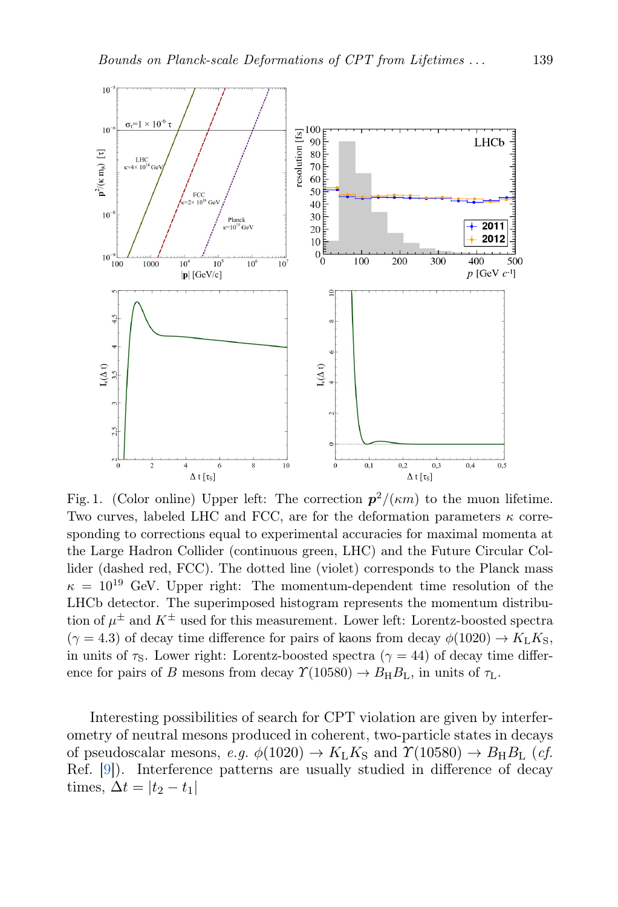

<span id="page-4-0"></span>Fig. 1. (Color online) Upper left: The correction  $p^2/(\kappa m)$  to the muon lifetime. Two curves, labeled LHC and FCC, are for the deformation parameters  $\kappa$  corresponding to corrections equal to experimental accuracies for maximal momenta at the Large Hadron Collider (continuous green, LHC) and the Future Circular Collider (dashed red, FCC). The dotted line (violet) corresponds to the Planck mass  $\kappa = 10^{19}$  GeV. Upper right: The momentum-dependent time resolution of the LHCb detector. The superimposed histogram represents the momentum distribution of  $\mu^{\pm}$  and  $K^{\pm}$  used for this measurement. Lower left: Lorentz-boosted spectra  $(\gamma = 4.3)$  of decay time difference for pairs of kaons from decay  $\phi(1020) \rightarrow K_L K_S$ , in units of  $\tau_{\rm S}$ . Lower right: Lorentz-boosted spectra ( $\gamma = 44$ ) of decay time difference for pairs of B mesons from decay  $\Upsilon(10580) \rightarrow B_H B_L$ , in units of  $\tau_L$ .

Interesting possibilities of search for CPT violation are given by interferometry of neutral mesons produced in coherent, two-particle states in decays of pseudoscalar mesons, e.g.  $\phi(1020) \rightarrow K_L K_S$  and  $\Upsilon(10580) \rightarrow B_H B_L$  (cf. Ref. [\[9\]](#page-6-8)). Interference patterns are usually studied in difference of decay times,  $\Delta t = |t_2 - t_1|$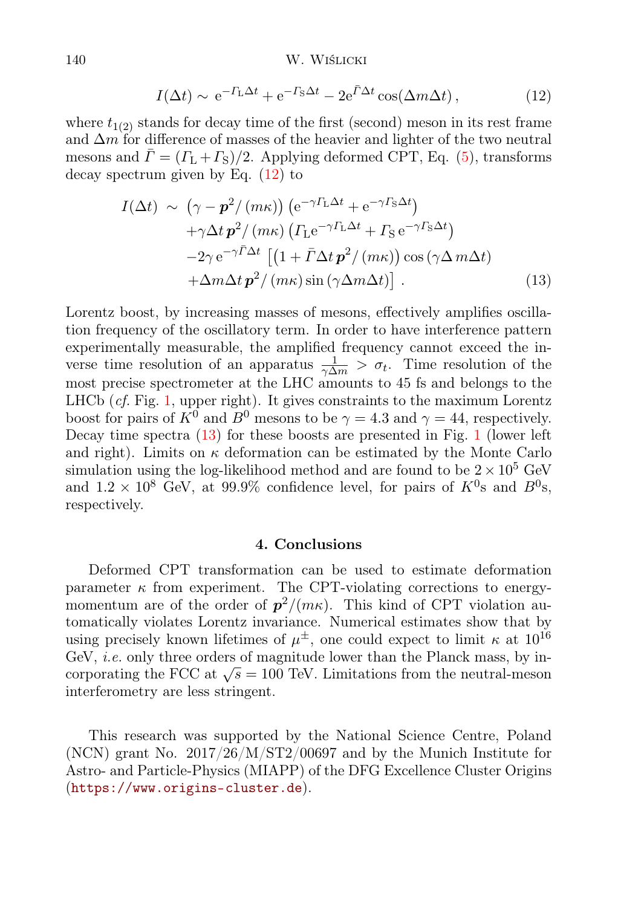<span id="page-5-0"></span>
$$
I(\Delta t) \sim e^{-\Gamma_{\rm L}\Delta t} + e^{-\Gamma_{\rm S}\Delta t} - 2e^{\bar{\Gamma}\Delta t} \cos(\Delta m \Delta t), \qquad (12)
$$

where  $t_{1(2)}$  stands for decay time of the first (second) meson in its rest frame and  $\Delta m$  for difference of masses of the heavier and lighter of the two neutral mesons and  $\bar{\Gamma} = (\Gamma_L + \Gamma_S)/2$ . Applying deformed CPT, Eq. [\(5\)](#page-2-0), transforms decay spectrum given by Eq.  $(12)$  to

<span id="page-5-1"></span>
$$
I(\Delta t) \sim (\gamma - \mathbf{p}^2 / (m\kappa)) (e^{-\gamma \Gamma_L \Delta t} + e^{-\gamma \Gamma_S \Delta t})
$$
  
+ \gamma \Delta t \mathbf{p}^2 / (m\kappa) ( \Gamma\_L e^{-\gamma \Gamma\_L \Delta t} + \Gamma\_S e^{-\gamma \Gamma\_S \Delta t})  
- 2\gamma e^{-\gamma \bar{\Gamma} \Delta t} [(1 + \bar{\Gamma} \Delta t \mathbf{p}^2 / (m\kappa)) \cos (\gamma \Delta m \Delta t)  
+ \Delta m \Delta t \mathbf{p}^2 / (m\kappa) \sin (\gamma \Delta m \Delta t)]. \qquad (13)

Lorentz boost, by increasing masses of mesons, effectively amplifies oscillation frequency of the oscillatory term. In order to have interference pattern experimentally measurable, the amplified frequency cannot exceed the inverse time resolution of an apparatus  $\frac{1}{\gamma \Delta m} > \sigma_t$ . Time resolution of the most precise spectrometer at the LHC amounts to 45 fs and belongs to the LHCb  $(cf. Fig. 1, upper right)$  $(cf. Fig. 1, upper right)$  $(cf. Fig. 1, upper right)$ . It gives constraints to the maximum Lorentz boost for pairs of  $K^0$  and  $B^0$  mesons to be  $\gamma = 4.3$  and  $\gamma = 44$ , respectively. Decay time spectra [\(13\)](#page-5-1) for these boosts are presented in Fig. [1](#page-4-0) (lower left and right). Limits on  $\kappa$  deformation can be estimated by the Monte Carlo simulation using the log-likelihood method and are found to be  $2 \times 10^5$  GeV and  $1.2 \times 10^8$  GeV, at 99.9% confidence level, for pairs of  $K^0$ s and  $B^0$ s, respectively.

## 4. Conclusions

Deformed CPT transformation can be used to estimate deformation parameter  $\kappa$  from experiment. The CPT-violating corrections to energymomentum are of the order of  $p^2/(m\kappa)$ . This kind of CPT violation automatically violates Lorentz invariance. Numerical estimates show that by using precisely known lifetimes of  $\mu^{\pm}$ , one could expect to limit  $\kappa$  at  $10^{16}$ GeV, *i.e.* only three orders of magnitude lower than the Planck mass, by in-Gev, *t.e.* only three orders or magnitude lower than the Flanck mass, by incorporating the FCC at  $\sqrt{s} = 100$  TeV. Limitations from the neutral-meson interferometry are less stringent.

This research was supported by the National Science Centre, Poland (NCN) grant No. 2017/26/M/ST2/00697 and by the Munich Institute for Astro- and Particle-Physics (MIAPP) of the DFG Excellence Cluster Origins (<https://www.origins-cluster.de>).